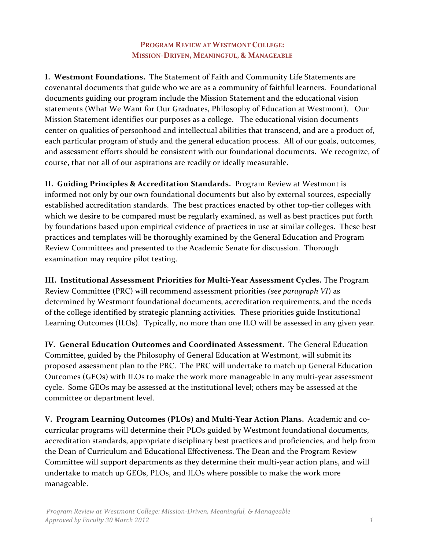# PROGRAM REVIEW AT WESTMONT COLLEGE: **MISSION2DRIVEN, MEANINGFUL, & MANAGEABLE**

**I. Westmont Foundations.** The Statement of Faith and Community Life Statements are covenantal documents that guide who we are as a community of faithful learners. Foundational documents guiding our program include the Mission Statement and the educational vision statements (What We Want for Our Graduates, Philosophy of Education at Westmont). Our Mission Statement identifies our purposes as a college. The educational vision documents center on qualities of personhood and intellectual abilities that transcend, and are a product of, each particular program of study and the general education process. All of our goals, outcomes, and assessment efforts should be consistent with our foundational documents. We recognize, of course, that not all of our aspirations are readily or ideally measurable.

**II. Guiding Principles & Accreditation Standards.** Program Review at Westmont is informed not only by our own foundational documents but also by external sources, especially established accreditation standards. The best practices enacted by other top-tier colleges with which we desire to be compared must be regularly examined, as well as best practices put forth by foundations based upon empirical evidence of practices in use at similar colleges. These best practices and templates will be thoroughly examined by the General Education and Program Review Committees and presented to the Academic Senate for discussion. Thorough examination may require pilot testing.

**III. Institutional Assessment Priorities for Multi-Year Assessment Cycles.** The Program Review Committee (PRC) will recommend assessment priorities *(see paragraph VI*) as determined by Westmont foundational documents, accreditation requirements, and the needs of the college identified by strategic planning activities. These priorities guide Institutional Learning Outcomes (ILOs). Typically, no more than one ILO will be assessed in any given year.

IV. General Education Outcomes and Coordinated Assessment. The General Education Committee, guided by the Philosophy of General Education at Westmont, will submit its proposed assessment plan to the PRC. The PRC will undertake to match up General Education Outcomes (GEOs) with ILOs to make the work more manageable in any multi-year assessment cycle. Some GEOs may be assessed at the institutional level; others may be assessed at the committee or department level.

**V. Program Learning Outcomes (PLOs) and Multi-Year Action Plans.** Academic and cocurricular programs will determine their PLOs guided by Westmont foundational documents, accreditation standards, appropriate disciplinary best practices and proficiencies, and help from the Dean of Curriculum and Educational Effectiveness. The Dean and the Program Review Committee will support departments as they determine their multi-year action plans, and will undertake to match up GEOs, PLOs, and ILOs where possible to make the work more manageable.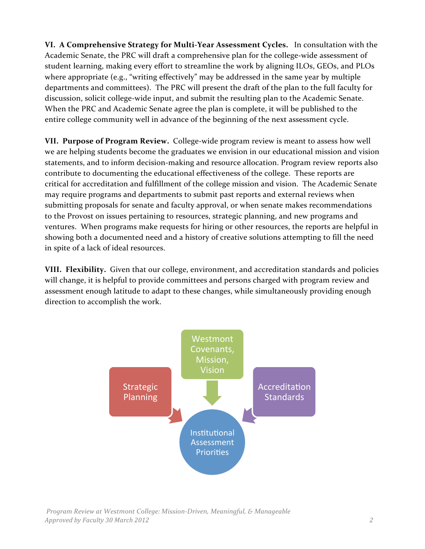VI. A Comprehensive Strategy for Multi-Year Assessment Cycles. In consultation with the Academic Senate, the PRC will draft a comprehensive plan for the college-wide assessment of student learning, making every effort to streamline the work by aligning ILOs, GEOs, and PLOs where appropriate (e.g., "writing effectively" may be addressed in the same year by multiple departments and committees). The PRC will present the draft of the plan to the full faculty for discussion, solicit college-wide input, and submit the resulting plan to the Academic Senate. When the PRC and Academic Senate agree the plan is complete, it will be published to the entire college community well in advance of the beginning of the next assessment cycle.

**VII. Purpose of Program Review.** College-wide program review is meant to assess how well we are helping students become the graduates we envision in our educational mission and vision statements, and to inform decision-making and resource allocation. Program review reports also contribute to documenting the educational effectiveness of the college. These reports are critical for accreditation and fulfillment of the college mission and vision. The Academic Senate may require programs and departments to submit past reports and external reviews when submitting proposals for senate and faculty approval, or when senate makes recommendations to the Provost on issues pertaining to resources, strategic planning, and new programs and ventures. When programs make requests for hiring or other resources, the reports are helpful in showing both a documented need and a history of creative solutions attempting to fill the need in spite of a lack of ideal resources.

**VIII. Flexibility.** Given that our college, environment, and accreditation standards and policies will change, it is helpful to provide committees and persons charged with program review and assessment enough latitude to adapt to these changes, while simultaneously providing enough direction to accomplish the work.